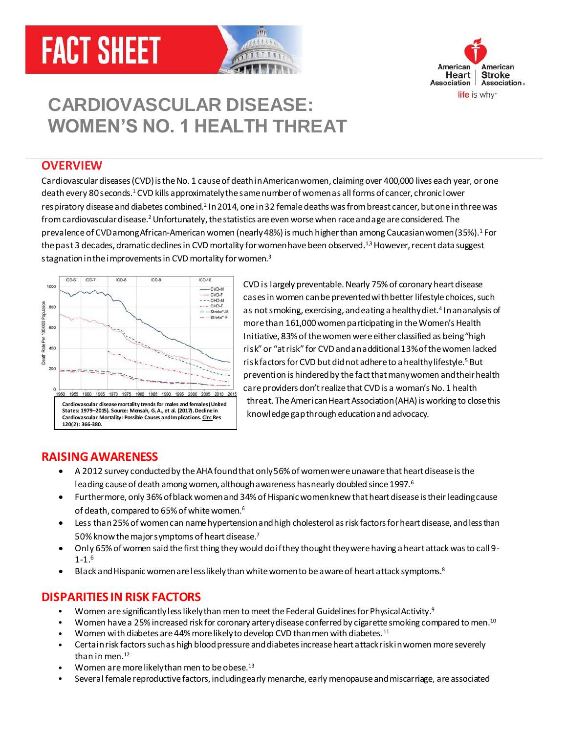# **FACT SHEET**





# **CARDIOVASCULAR DISEASE: WOMEN'S NO. 1 HEALTH THREAT**

#### **OVERVIEW**

<span id="page-0-1"></span>Cardiovascular diseases (CVD)is the No. 1 cause of death in American women, claiming over 400,000 lives each year, or one death every 80 seconds.<sup>1</sup> CVD kills approximately the same number of women as all forms of cancer, chronic lower respiratory disease and diabetes combined.<sup>2</sup> In 2014, one in 32 female deaths was from breast cancer, but one in three was from cardiovascular diseas[e.](#page-0-0)<sup>2</sup> Unfortunately, the statistics are even worse when race and age are considered. The prevalence of CVD among African-American women (nearly 48%) is much higher than among Caucasian women (35%[\).](#page-0-1)<sup>1</sup> For the past 3 decades, dramatic declines in CVD mortality for women have been observe[d.](#page-0-1)<sup>1,3</sup> However, recent data suggest stagnation in the improvements in CVD mortality for wome[n.](#page-0-2) $3$ 



<span id="page-0-4"></span><span id="page-0-3"></span><span id="page-0-2"></span><span id="page-0-0"></span>CVD is largely preventable. Nearly 75% of coronary heart disease cases in women can be prevented with better lifestyle choices, such as not smoking, exercising, and eating a healthy diet.<sup>4</sup> In an analysis of more than 161,000 women participating in the Women's Health Initiative, 83% of the women were either classified as being "high risk" or "at risk" for CVD and an additional 13% of the women lacked risk factors for CVD but did not adhere to a healthy lifestyle.<sup>5</sup> But prevention is hindered by the fact that many women and their health care providers don't realize that CVD is a woman's No. 1 health threat. The American Heart Association (AHA) is working to close this knowledge gap through education and advocacy.

#### **RAISING AWARENESS**

- A 2012 survey conducted by the AHA found that only 56% of women were unaware that heart disease is the leading cause of death among women, although awareness has nearly doubled since 1997.<sup>6</sup>
- Furthermore, only 36% of black women and 34% of Hispanic women knew that heart disease is their leading cause of death, compared to 65% of white wome[n.](#page-0-3)<sup>6</sup>
- Less than25% of women can name hypertension and high cholesterol as risk factors for heart disease, and less than 50% know the major symptoms of heart disease.<sup>7</sup>
- Only 65% of women said the first thing they would do if they thought they were having a heart attack was to call 9- 1-[1.](#page-0-3)<sup>6</sup>
- Black and Hispanic women are less likely than white women to be aware of heart attack symptoms.<sup>8</sup>

#### **DISPARITIES IN RISK FACTORS**

- Women are significantly less likely than men to meet the Federal Guidelines for Physical Activity.<sup>9</sup>
- Women have a 25% increased risk for coronary artery disease conferred by cigarette smoking compared to men.<sup>10</sup>
- Women with diabetes are 44% more likely to develop CVD than men with diabetes.<sup>11</sup>
- Certain risk factors such as high blood pressure and diabetes increase heart attack risk in women more severely than in men.<sup>12</sup>
- <span id="page-0-5"></span>Women are more likely than men to be obese.<sup>13</sup>
- Several female reproductive factors, including early menarche, early menopause and miscarriage, are associated